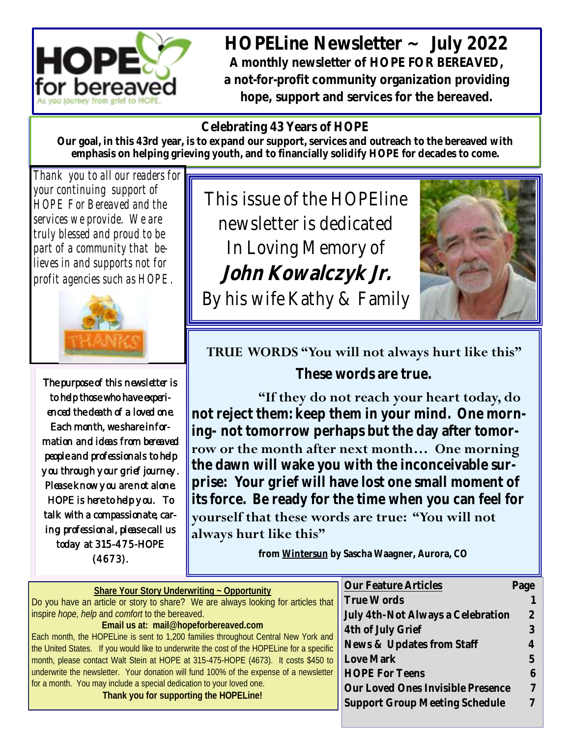

**HOPELine Newsletter ~ July 2022 A monthly newsletter of HOPE FOR BEREAVED, a not-for-profit community organization providing hope, support and services for the bereaved.**

#### **Celebrating 43 Years of HOPE**

**Our goal, in this 43rd year, is to expand our support, services and outreach to the bereaved with emphasis on helping grieving youth, and to financially solidify HOPE for decades to come.**

*Thank you to all our readers for your continuing support of HOPE For Bereaved and the services we provide. We are truly blessed and proud to be part of a community that believes in and supports not for profit agencies such as HOPE.*



The purpose of this newsletter is to help those who have experienced the death of a loved one. Each month, we share information and ideas from bereaved people and professionals to help you through your grief journey. Please know you are not alone. HOPE is here to help you. To talk with a compassionate, caring professional, please call us today at 315-475-HOPE (4673).

This issue of the HOPEline newsletter is dedicated In Loving Memory of **John Kowalczyk Jr.**  By his wife Kathy & Family



### **TRUE WORDS "You will not always hurt like this"**

**These words are true.**

**"If they do not reach your heart today, do not reject them: keep them in your mind. One morning- not tomorrow perhaps but the day after tomorrow or the month after next month… One morning the dawn will wake you with the inconceivable surprise: Your grief will have lost one small moment of its force. Be ready for the time when you can feel for yourself that these words are true: "You will not always hurt like this"**

**from Wintersun by Sascha Waagner, Aurora, CO**

|                                                                                                                                                                                  | Our Feature Articles              | Page |
|----------------------------------------------------------------------------------------------------------------------------------------------------------------------------------|-----------------------------------|------|
| Share Your Story Underwriting ~ Opportunity                                                                                                                                      |                                   |      |
| Do you have an article or story to share? We are always looking for articles that                                                                                                | True Words                        |      |
| inspire hope, help and comfort to the bereaved.                                                                                                                                  | July 4th-Not Always a Celebration |      |
| Email us at: mail@hopeforbereaved.com                                                                                                                                            | 4th of July Grief                 |      |
| Each month, the HOPELine is sent to 1,200 families throughout Central New York and<br>the United States. If you would like to underwrite the cost of the HOPELine for a specific | News & Updates from Staff         |      |
| month, please contact Walt Stein at HOPE at 315-475-HOPE (4673). It costs \$450 to                                                                                               | Love Mark                         |      |
| underwrite the newsletter. Your donation will fund 100% of the expense of a newsletter                                                                                           | <b>HOPE For Teens</b>             |      |
| for a month. You may include a special dedication to your loved one.                                                                                                             | Our Loved Ones Invisible Presence |      |
| Thank you for supporting the HOPELine!                                                                                                                                           | Support Group Meeting Schedule    |      |
|                                                                                                                                                                                  |                                   |      |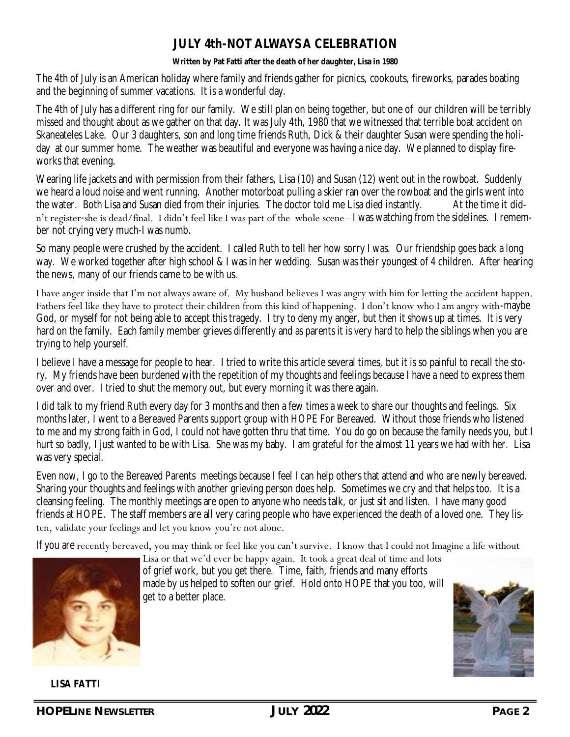#### **JULY 4th-NOT ALWAYS A CELEBRATION**

**Written by Pat Fatti after the death of her daughter, Lisa in 1980**

The 4th of July is an American holiday where family and friends gather for picnics, cookouts, fireworks, parades boating and the beginning of summer vacations. It is a wonderful day.

The 4th of July has a different ring for our family. We still plan on being together, but one of our children will be terribly missed and thought about as we gather on that day. It was July 4th, 1980 that we witnessed that terrible boat accident on Skaneateles Lake. Our 3 daughters, son and long time friends Ruth, Dick & their daughter Susan were spending the holiday at our summer home. The weather was beautiful and everyone was having a nice day. We planned to display fireworks that evening.

Wearing life jackets and with permission from their fathers, Lisa (10) and Susan (12) went out in the rowboat. Suddenly we heard a loud noise and went running. Another motorboat pulling a skier ran over the rowboat and the girls went into the water. Both Lisa and Susan died from their injuries. The doctor told me Lisa died instantly. At the time it didn't register-she is dead/final. I didn't feel like I was part of the whole scene– I was watching from the sidelines. I remember not crying very much-I was numb.

So many people were crushed by the accident. I called Ruth to tell her how sorry I was. Our friendship goes back a long way. We worked together after high school & I was in her wedding. Susan was their youngest of 4 children. After hearing the news, many of our friends came to be with us.

I have anger inside that I'm not always aware of. My husband believes I was angry with him for letting the accident happen. Fathers feel like they have to protect their children from this kind of happening. I don't know who I am angry with-maybe God, or myself for not being able to accept this tragedy. I try to deny my anger, but then it shows up at times. It is very hard on the family. Each family member grieves differently and as parents it is very hard to help the siblings when you are trying to help yourself.

I believe I have a message for people to hear. I tried to write this article several times, but it is so painful to recall the story. My friends have been burdened with the repetition of my thoughts and feelings because I have a need to express them over and over. I tried to shut the memory out, but every morning it was there again.

I did talk to my friend Ruth every day for 3 months and then a few times a week to share our thoughts and feelings. Six months later, I went to a Bereaved Parents support group with HOPE For Bereaved. Without those friends who listened to me and my strong faith in God, I could not have gotten thru that time. You do go on because the family needs you, but I hurt so badly, I just wanted to be with Lisa. She was my baby. I am grateful for the almost 11 years we had with her. Lisa was very special.

Even now, I go to the Bereaved Parents meetings because I feel I can help others that attend and who are newly bereaved. Sharing your thoughts and feelings with another grieving person does help. Sometimes we cry and that helps too. It is a cleansing feeling. The monthly meetings are open to anyone who needs talk, or just sit and listen. I have many good friends at HOPE. The staff members are all very caring people who have experienced the death of a loved one. They listen, validate your feelings and let you know you're not alone.

If you are recently bereaved, you may think or feel like you can't survive. I know that I could not Imagine a life without



Lisa or that we'd ever be happy again. It took a great deal of time and lots of grief work, but you get there. Time, faith, friends and many efforts made by us helped to soften our grief. Hold onto HOPE that you too, will get to a better place.



**LISA FATTI**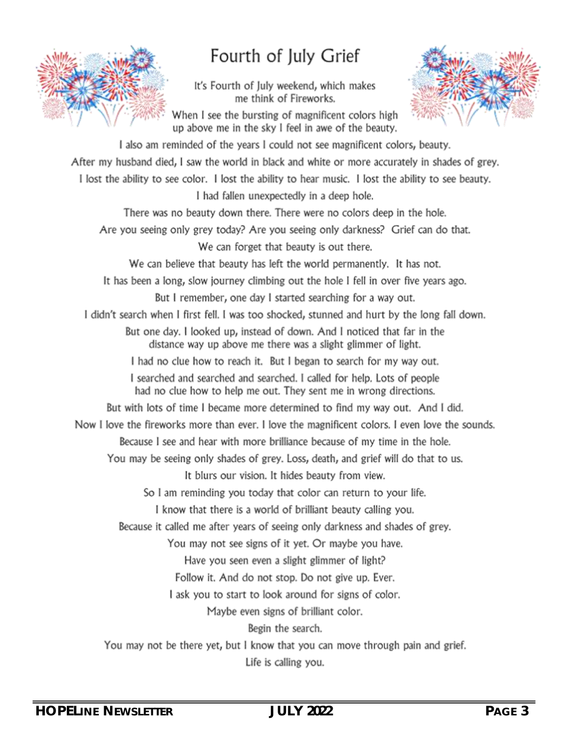

## Fourth of July Grief

It's Fourth of July weekend, which makes me think of Fireworks.



When I see the bursting of magnificent colors high up above me in the sky I feel in awe of the beauty.

I also am reminded of the years I could not see magnificent colors, beauty. After my husband died, I saw the world in black and white or more accurately in shades of grey. I lost the ability to see color. I lost the ability to hear music. I lost the ability to see beauty. I had fallen unexpectedly in a deep hole. There was no beauty down there. There were no colors deep in the hole. Are you seeing only grey today? Are you seeing only darkness? Grief can do that. We can forget that beauty is out there. We can believe that beauty has left the world permanently. It has not. It has been a long, slow journey climbing out the hole I fell in over five years ago. But I remember, one day I started searching for a way out. I didn't search when I first fell. I was too shocked, stunned and hurt by the long fall down. But one day. I looked up, instead of down. And I noticed that far in the distance way up above me there was a slight glimmer of light. I had no clue how to reach it. But I began to search for my way out. I searched and searched and searched. I called for help. Lots of people had no clue how to help me out. They sent me in wrong directions. But with lots of time I became more determined to find my way out. And I did. Now I love the fireworks more than ever. I love the magnificent colors. I even love the sounds. Because I see and hear with more brilliance because of my time in the hole. You may be seeing only shades of grey. Loss, death, and grief will do that to us. It blurs our vision. It hides beauty from view. So I am reminding you today that color can return to your life. I know that there is a world of brilliant beauty calling you. Because it called me after years of seeing only darkness and shades of grey. You may not see signs of it yet. Or maybe you have. Have you seen even a slight glimmer of light? Follow it. And do not stop. Do not give up. Ever. I ask you to start to look around for signs of color. Maybe even signs of brilliant color. Begin the search. You may not be there yet, but I know that you can move through pain and grief. Life is calling you.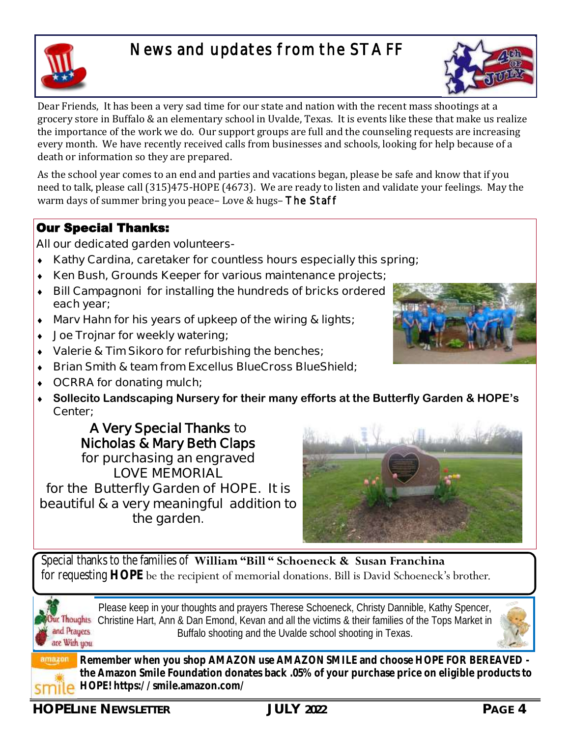### News and updates from the STAFF



Dear Friends, It has been a very sad time for our state and nation with the recent mass shootings at a grocery store in Buffalo & an elementary school in Uvalde, Texas. It is events like these that make us realize the importance of the work we do. Our support groups are full and the counseling requests are increasing every month. We have recently received calls from businesses and schools, looking for help because of a death or information so they are prepared.

As the school year comes to an end and parties and vacations began, please be safe and know that if you need to talk, please call (315)475-HOPE (4673). We are ready to listen and validate your feelings. May the warm days of summer bring you peace– Love & hugs– The Staff

#### Our Special Thanks:

#### **All our dedicated garden volunteers-**

- **Kathy Cardina, caretaker for countless hours especially this spring;**
- **Ken Bush, Grounds Keeper for various maintenance projects;**
- **Bill Campagnoni for installing the hundreds of bricks ordered each year;**
- **Marv Hahn for his years of upkeep of the wiring & lights;**
- **Joe Trojnar for weekly watering;**
- **Valerie & Tim Sikoro for refurbishing the benches;**
- **Brian Smith & team from Excellus BlueCross BlueShield;**
- **OCRRA for donating mulch;**
- **Sollecito Landscaping Nursery for their many efforts at the Butterfly Garden & HOPE's Center;**

**A Very Special Thanks to Nicholas & Mary Beth Claps for purchasing an engraved LOVE MEMORIAL for the Butterfly Garden of HOPE. It is beautiful & a very meaningful addition to the garden.**



Special thanks to the families of **William "Bill " Schoeneck & Susan Franchina**  for requesting **HOPE** be the recipient of memorial donations. Bill is David Schoeneck's brother.

and Prauers are With you

Please keep in your thoughts and prayers Therese Schoeneck, Christy Dannible, Kathy Spencer, ur Thoughts Christine Hart, Ann & Dan Emond, Kevan and all the victims & their families of the Tops Market in Buffalo shooting and the Uvalde school shooting in Texas.



**Remember when you shop AMAZON use AMAZON SMILE and choose HOPE FOR BEREAVED the Amazon Smile Foundation donates back .05% of your purchase price on eligible products to HOPE! https://smile.amazon.com/** 

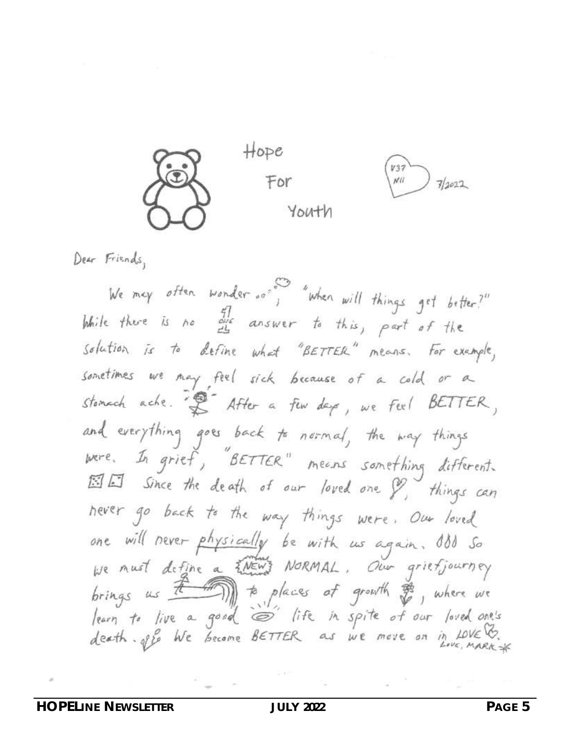

Dear Friends,

We may often wonder ... when will things get better?" While there is no one answer to this, part of the solution is to define what "BETTER" means. For example, sometimes we may feel sick because of a cold or a stomach ache. "I After a fun days, we feel BETTER, and everything goes back to normal, the way things were. In grief, "BETTER" means something different. Since the death of our loved one & things can hever go back to the way things were. Our loved one will never physically be with us again. ISS So<br>we must define a <del>hows</del> NORMAL. Our griefjourney brings us  $\overline{t}$  (aces of growth  $\frac{1}{x}$ , where we learn to live a good is life in spite of our loved one's<br>death. off We become BETTER as we move on in LOVE &.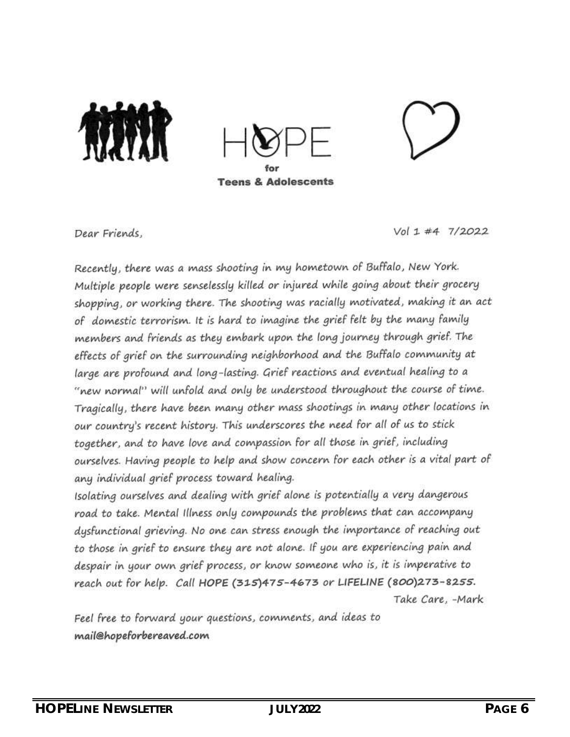

Dear Friends.

 $Vol 1 #4 7/2022$ 

Recently, there was a mass shooting in my hometown of Buffalo, New York. Multiple people were senselessly killed or injured while going about their grocery shopping, or working there. The shooting was racially motivated, making it an act of domestic terrorism. It is hard to imagine the grief felt by the many family members and friends as they embark upon the long journey through grief. The effects of grief on the surrounding neighborhood and the Buffalo community at large are profound and long-lasting. Grief reactions and eventual healing to a "new normal" will unfold and only be understood throughout the course of time. Tragically, there have been many other mass shootings in many other locations in our country's recent history. This underscores the need for all of us to stick together, and to have love and compassion for all those in grief, including ourselves. Having people to help and show concern for each other is a vital part of any individual grief process toward healing.

Isolating ourselves and dealing with grief alone is potentially a very dangerous road to take. Mental Illness only compounds the problems that can accompany dysfunctional grieving. No one can stress enough the importance of reaching out to those in grief to ensure they are not alone. If you are experiencing pain and despair in your own grief process, or know someone who is, it is imperative to reach out for help. Call HOPE (315)475-4673 or LIFELINE (800)273-8255. Take Care, -Mark

Feel free to forward your questions, comments, and ideas to mail@hopeforbereaved.com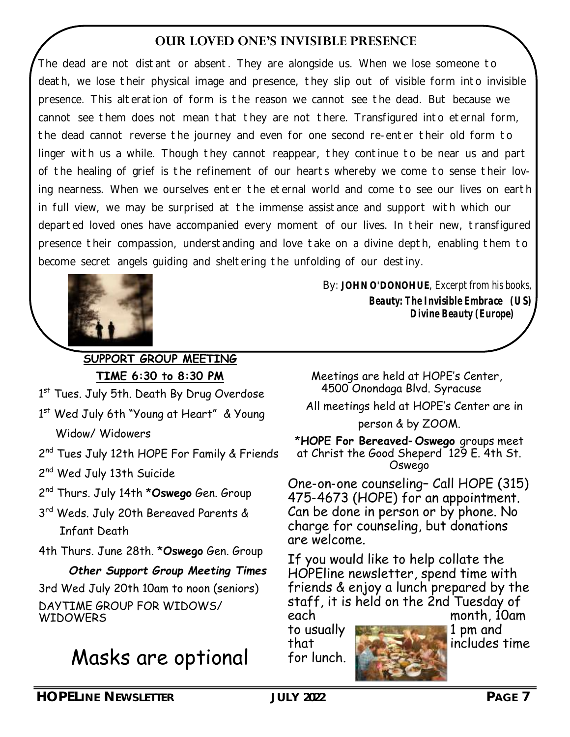#### **OUR LOVED ONE'S INVISIBLE PRESENCE**

*The dead are not distant or absent. They are alongside us. When we lose someone to death, we lose their physical image and presence, they slip out of visible form into invisible presence. This alteration of form is the reason we cannot see the dead. But because we cannot see them does not mean that they are not there. Transfigured into eternal form, the dead cannot reverse the journey and even for one second re-enter their old form to linger with us a while. Though they cannot reappear, they continue to be near us and part of the healing of grief is the refinement of our hearts whereby we come to sense their loving nearness. When we ourselves enter the eternal world and come to see our lives on earth in full view, we may be surprised at the immense assistance and support with which our*  departed loved ones have accompanied every moment of our lives. In their new, transfigured *presence their compassion, understanding and love take on a divine depth, enabling them to become secret angels guiding and sheltering the unfolding of our destiny.* 



**SUPPORT GROUP MEETING TIME 6:30 to 8:30 PM**

1st Tues. July 5th. Death By Drug Overdose

- 1<sup>st</sup> Wed July 6th "Young at Heart" & Young Widow/ Widowers
- 2<sup>nd</sup> Tues July 12th HOPE For Family & Friends
- 2<sup>nd</sup> Wed July 13th Suicide
- 2 nd Thurs. July 14th \***Oswego** Gen. Group
- 3 rd Weds. July 20th Bereaved Parents & Infant Death
- 4th Thurs. June 28th. \***Oswego** Gen. Group

 *Other Support Group Meeting Times* 3rd Wed July 20th 10am to noon (seniors) DAYTIME GROUP FOR WIDOWS/ **WIDOWERS** 

# Masks are optional

*By*: **JOHN O'DONOHUE**, Excerpt from his books, *Beauty: The Invisible Embrace (US) Divine Beauty (Europe)*

 Meetings are held at HOPE's Center, 4500 Onondaga Blvd. Syracuse

All meetings held at HOPE's Center are in

person & by ZOOM.

\***HOPE For Bereaved-Oswego** groups meet at Christ the Good Sheperd 129 E. 4th St. Oswego

One-on-one counseling– Call HOPE (315) 475-4673 (HOPE) for an appointment. Can be done in person or by phone. No charge for counseling, but donations are welcome.

If you would like to help collate the HOPEline newsletter, spend time with friends & enjoy a lunch prepared by the staff, it is held on the 2nd Tuesday of each month, 10am

for lunch.